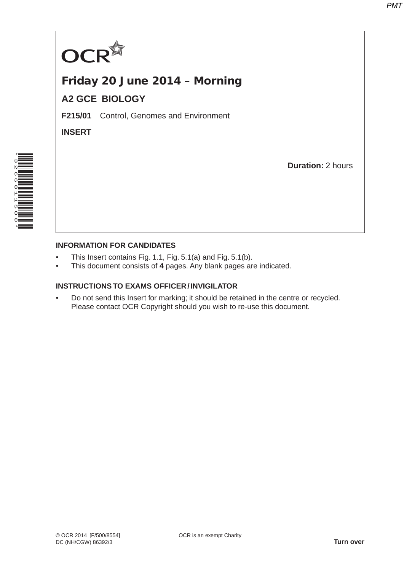

## Friday 20 June 2014 – Morning **A2 GCE BIOLOGY**

**F215/01** Control, Genomes and Environment

**INSERT**

**Duration:** 2 hours



## **INFORMATION FOR CANDIDATES**

- This Insert contains Fig. 1.1, Fig. 5.1(a) and Fig. 5.1(b).
- This document consists of **4** pages. Any blank pages are indicated.

## **INSTRUCTIONS TO EXAMS OFFICER / INVIGILATOR**

• Do not send this Insert for marking; it should be retained in the centre or recycled. Please contact OCR Copyright should you wish to re-use this document.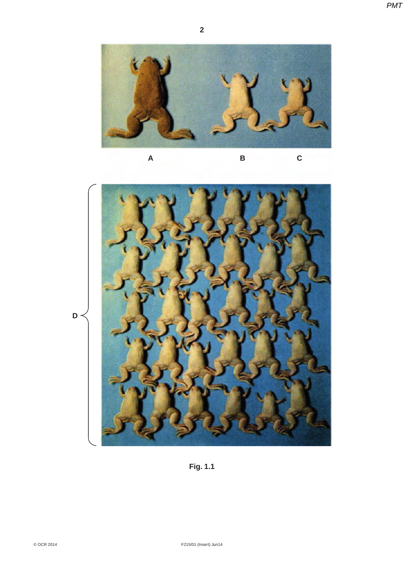*PMT*





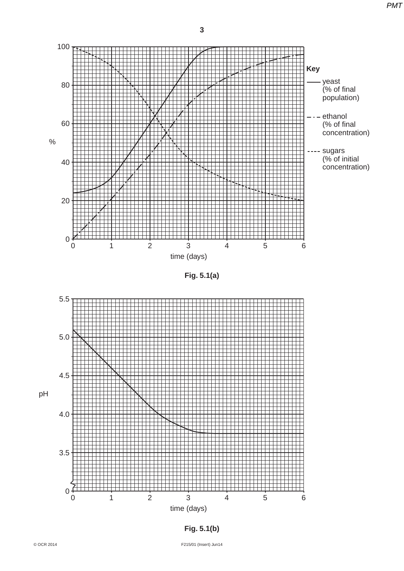*PMT*



**Fig. 5.1(a)**





<sup>©</sup> OCR 2014 F215/01 (Insert) Jun14